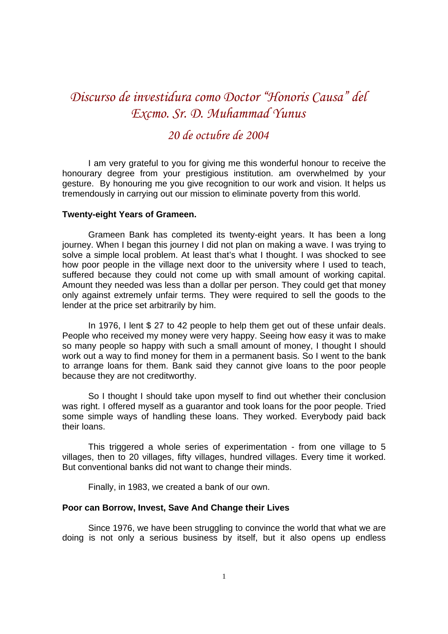# *Discurso de investidura como Doctor "Honoris Causa" del Excmo. Sr. D. Muhammad Yunus*

# *20 de octubre de 2004*

I am very grateful to you for giving me this wonderful honour to receive the honourary degree from your prestigious institution. am overwhelmed by your gesture. By honouring me you give recognition to our work and vision. It helps us tremendously in carrying out our mission to eliminate poverty from this world.

#### **Twenty-eight Years of Grameen.**

Grameen Bank has completed its twenty-eight years. It has been a long journey. When I began this journey I did not plan on making a wave. I was trying to solve a simple local problem. At least that's what I thought. I was shocked to see how poor people in the village next door to the university where I used to teach, suffered because they could not come up with small amount of working capital. Amount they needed was less than a dollar per person. They could get that money only against extremely unfair terms. They were required to sell the goods to the lender at the price set arbitrarily by him.

In 1976, I lent \$ 27 to 42 people to help them get out of these unfair deals. People who received my money were very happy. Seeing how easy it was to make so many people so happy with such a small amount of money, I thought I should work out a way to find money for them in a permanent basis. So I went to the bank to arrange loans for them. Bank said they cannot give loans to the poor people because they are not creditworthy.

So I thought I should take upon myself to find out whether their conclusion was right. I offered myself as a guarantor and took loans for the poor people. Tried some simple ways of handling these loans. They worked. Everybody paid back their loans.

This triggered a whole series of experimentation - from one village to 5 villages, then to 20 villages, fifty villages, hundred villages. Every time it worked. But conventional banks did not want to change their minds.

Finally, in 1983, we created a bank of our own.

# **Poor can Borrow, Invest, Save And Change their Lives**

Since 1976, we have been struggling to convince the world that what we are doing is not only a serious business by itself, but it also opens up endless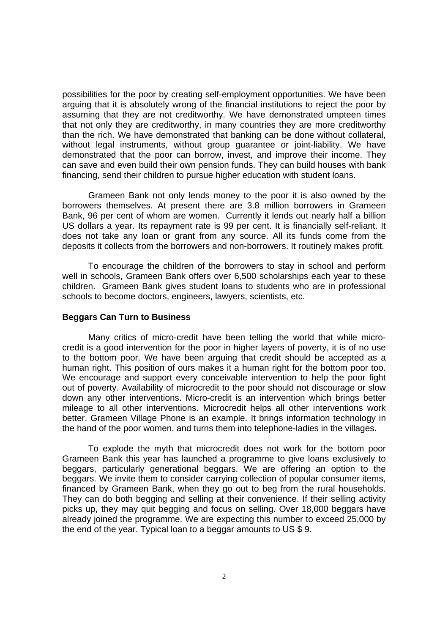possibilities for the poor by creating self-employment opportunities. We have been arguing that it is absolutely wrong of the financial institutions to reject the poor by assuming that they are not creditworthy. We have demonstrated umpteen times that not only they are creditworthy, in many countries they are more creditworthy than the rich. We have demonstrated that banking can be done without collateral, without legal instruments, without group guarantee or joint-liability. We have demonstrated that the poor can borrow, invest, and improve their income. They can save and even build their own pension funds. They can build houses with bank financing, send their children to pursue higher education with student loans.

Grameen Bank not only lends money to the poor it is also owned by the borrowers themselves. At present there are 3.8 million borrowers in Grameen Bank, 96 per cent of whom are women. Currently it lends out nearly half a billion US dollars a year. Its repayment rate is 99 per cent. It is financially self-reliant. It does not take any loan or grant from any source. All its funds come from the deposits it collects from the borrowers and non-borrowers. It routinely makes profit.

To encourage the children of the borrowers to stay in school and perform well in schools, Grameen Bank offers over 6,500 scholarships each year to these children. Grameen Bank gives student loans to students who are in professional schools to become doctors, engineers, lawyers, scientists, etc.

#### **Beggars Can Turn to Business**

Many critics of micro-credit have been telling the world that while microcredit is a good intervention for the poor in higher layers of poverty, it is of no use to the bottom poor. We have been arguing that credit should be accepted as a human right. This position of ours makes it a human right for the bottom poor too. We encourage and support every conceivable intervention to help the poor fight out of poverty. Availability of microcredit to the poor should not discourage or slow down any other interventions. Micro-credit is an intervention which brings better mileage to all other interventions. Microcredit helps all other interventions work better. Grameen Village Phone is an example. It brings information technology in the hand of the poor women, and turns them into telephone-ladies in the villages.

To explode the myth that microcredit does not work for the bottom poor Grameen Bank this year has launched a programme to give loans exclusively to beggars, particularly generational beggars. We are offering an option to the beggars. We invite them to consider carrying collection of popular consumer items, financed by Grameen Bank, when they go out to beg from the rural households. They can do both begging and selling at their convenience. If their selling activity picks up, they may quit begging and focus on selling. Over 18,000 beggars have already joined the programme. We are expecting this number to exceed 25,000 by the end of the year. Typical loan to a beggar amounts to US \$ 9.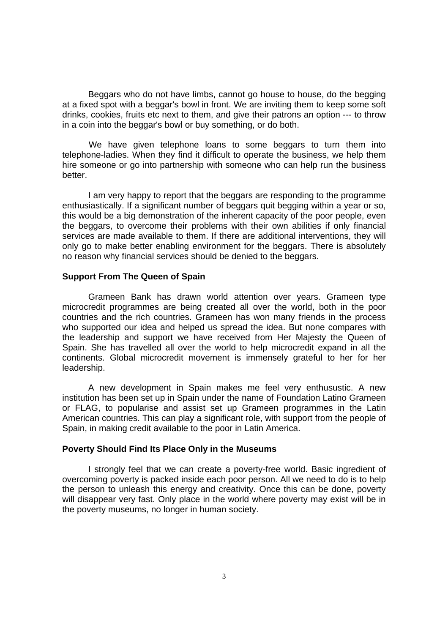Beggars who do not have limbs, cannot go house to house, do the begging at a fixed spot with a beggar's bowl in front. We are inviting them to keep some soft drinks, cookies, fruits etc next to them, and give their patrons an option --- to throw in a coin into the beggar's bowl or buy something, or do both.

 We have given telephone loans to some beggars to turn them into telephone-ladies. When they find it difficult to operate the business, we help them hire someone or go into partnership with someone who can help run the business better.

I am very happy to report that the beggars are responding to the programme enthusiastically. If a significant number of beggars quit begging within a year or so, this would be a big demonstration of the inherent capacity of the poor people, even the beggars, to overcome their problems with their own abilities if only financial services are made available to them. If there are additional interventions, they will only go to make better enabling environment for the beggars. There is absolutely no reason why financial services should be denied to the beggars.

#### **Support From The Queen of Spain**

Grameen Bank has drawn world attention over years. Grameen type microcredit programmes are being created all over the world, both in the poor countries and the rich countries. Grameen has won many friends in the process who supported our idea and helped us spread the idea. But none compares with the leadership and support we have received from Her Majesty the Queen of Spain. She has travelled all over the world to help microcredit expand in all the continents. Global microcredit movement is immensely grateful to her for her leadership.

A new development in Spain makes me feel very enthusustic. A new institution has been set up in Spain under the name of Foundation Latino Grameen or FLAG, to popularise and assist set up Grameen programmes in the Latin American countries. This can play a significant role, with support from the people of Spain, in making credit available to the poor in Latin America.

# **Poverty Should Find Its Place Only in the Museums**

I strongly feel that we can create a poverty-free world. Basic ingredient of overcoming poverty is packed inside each poor person. All we need to do is to help the person to unleash this energy and creativity. Once this can be done, poverty will disappear very fast. Only place in the world where poverty may exist will be in the poverty museums, no longer in human society.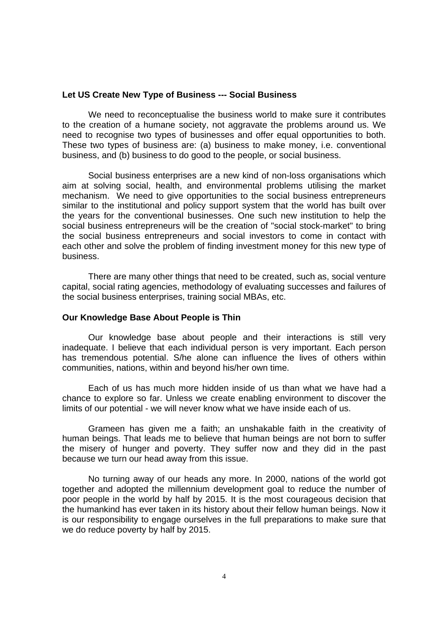# **Let US Create New Type of Business --- Social Business**

We need to reconceptualise the business world to make sure it contributes to the creation of a humane society, not aggravate the problems around us. We need to recognise two types of businesses and offer equal opportunities to both. These two types of business are: (a) business to make money, i.e. conventional business, and (b) business to do good to the people, or social business.

Social business enterprises are a new kind of non-loss organisations which aim at solving social, health, and environmental problems utilising the market mechanism. We need to give opportunities to the social business entrepreneurs similar to the institutional and policy support system that the world has built over the years for the conventional businesses. One such new institution to help the social business entrepreneurs will be the creation of "social stock-market" to bring the social business entrepreneurs and social investors to come in contact with each other and solve the problem of finding investment money for this new type of business.

There are many other things that need to be created, such as, social venture capital, social rating agencies, methodology of evaluating successes and failures of the social business enterprises, training social MBAs, etc.

# **Our Knowledge Base About People is Thin**

Our knowledge base about people and their interactions is still very inadequate. I believe that each individual person is very important. Each person has tremendous potential. S/he alone can influence the lives of others within communities, nations, within and beyond his/her own time.

Each of us has much more hidden inside of us than what we have had a chance to explore so far. Unless we create enabling environment to discover the limits of our potential - we will never know what we have inside each of us.

Grameen has given me a faith; an unshakable faith in the creativity of human beings. That leads me to believe that human beings are not born to suffer the misery of hunger and poverty. They suffer now and they did in the past because we turn our head away from this issue.

No turning away of our heads any more. In 2000, nations of the world got together and adopted the millennium development goal to reduce the number of poor people in the world by half by 2015. It is the most courageous decision that the humankind has ever taken in its history about their fellow human beings. Now it is our responsibility to engage ourselves in the full preparations to make sure that we do reduce poverty by half by 2015.